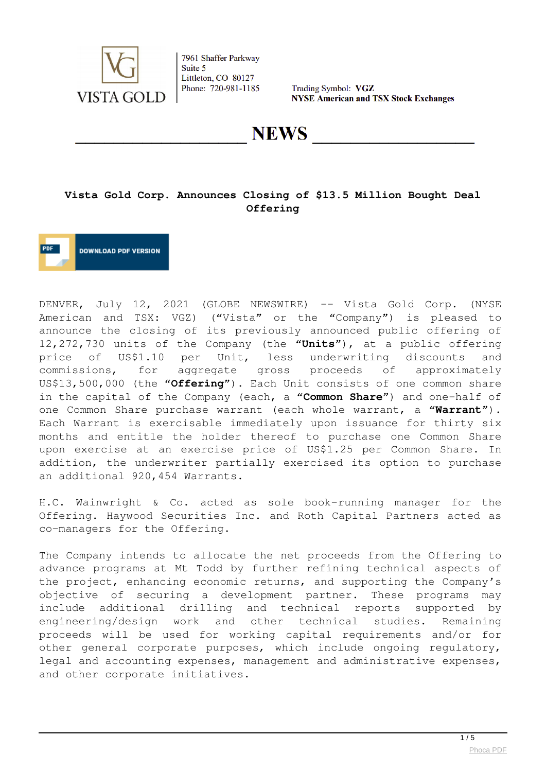

Trading Symbol: VGZ **NYSE American and TSX Stock Exchanges** 

NEWS

### **Vista Gold Corp. Announces Closing of \$13.5 Million Bought Deal Offering**

**DOWNLOAD PDF VERSION** 

DENVER, July 12, 2021 (GLOBE NEWSWIRE) -- Vista Gold Corp. (NYSE American and TSX: VGZ) ("Vista" or the "Company") is pleased to announce the closing of its previously announced public offering of 12,272,730 units of the Company (the "**Units**"), at a public offering price of US\$1.10 per Unit, less underwriting discounts and commissions, for aggregate gross proceeds of approximately US\$13,500,000 (the "**Offering**"). Each Unit consists of one common share in the capital of the Company (each, a "**Common Share**") and one-half of one Common Share purchase warrant (each whole warrant, a "**Warrant**"). Each Warrant is exercisable immediately upon issuance for thirty six months and entitle the holder thereof to purchase one Common Share upon exercise at an exercise price of US\$1.25 per Common Share. In addition, the underwriter partially exercised its option to purchase an additional 920,454 Warrants.

H.C. Wainwright & Co. acted as sole book-running manager for the Offering. Haywood Securities Inc. and Roth Capital Partners acted as co-managers for the Offering.

The Company intends to allocate the net proceeds from the Offering to advance programs at Mt Todd by further refining technical aspects of the project, enhancing economic returns, and supporting the Company's objective of securing a development partner. These programs may include additional drilling and technical reports supported by engineering/design work and other technical studies. Remaining proceeds will be used for working capital requirements and/or for other general corporate purposes, which include ongoing regulatory, legal and accounting expenses, management and administrative expenses, and other corporate initiatives.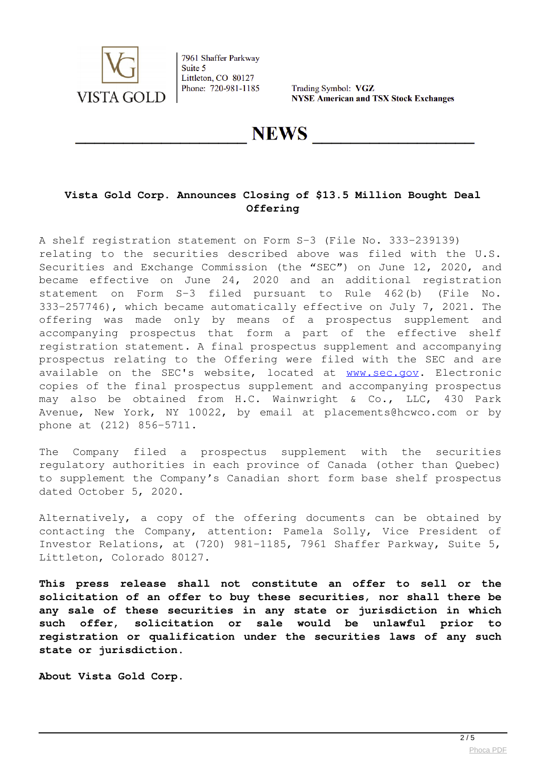

Trading Symbol: VGZ **NYSE American and TSX Stock Exchanges** 

**NEWS** 

## **Vista Gold Corp. Announces Closing of \$13.5 Million Bought Deal Offering**

A shelf registration statement on Form S-3 (File No. 333-239139) relating to the securities described above was filed with the U.S. Securities and Exchange Commission (the "SEC") on June 12, 2020, and became effective on June 24, 2020 and an additional registration statement on Form S-3 filed pursuant to Rule 462(b) (File No. 333-257746), which became automatically effective on July 7, 2021. The offering was made only by means of a prospectus supplement and accompanying prospectus that form a part of the effective shelf registration statement. A final prospectus supplement and accompanying prospectus relating to the Offering were filed with the SEC and are available on the SEC's website, located at [www.sec.gov](https://www.globenewswire.com/Tracker?data=ZaWXbDBBIo9VPeCBg54rPE9ljgw4B9vsReM5G6okbv3mGVxwpTj-87ohTJpBS7TYyzcDjKyvtR9o5cbkt1fOWA==). Electronic copies of the final prospectus supplement and accompanying prospectus may also be obtained from H.C. Wainwright & Co., LLC, 430 Park Avenue, New York, NY 10022, by email at placements@hcwco.com or by phone at (212) 856-5711.

The Company filed a prospectus supplement with the securities regulatory authorities in each province of Canada (other than Quebec) to supplement the Company's Canadian short form base shelf prospectus dated October 5, 2020.

Alternatively, a copy of the offering documents can be obtained by contacting the Company, attention: Pamela Solly, Vice President of Investor Relations, at (720) 981-1185, 7961 Shaffer Parkway, Suite 5, Littleton, Colorado 80127.

**This press release shall not constitute an offer to sell or the solicitation of an offer to buy these securities, nor shall there be any sale of these securities in any state or jurisdiction in which such offer, solicitation or sale would be unlawful prior to registration or qualification under the securities laws of any such state or jurisdiction.**

**About Vista Gold Corp.**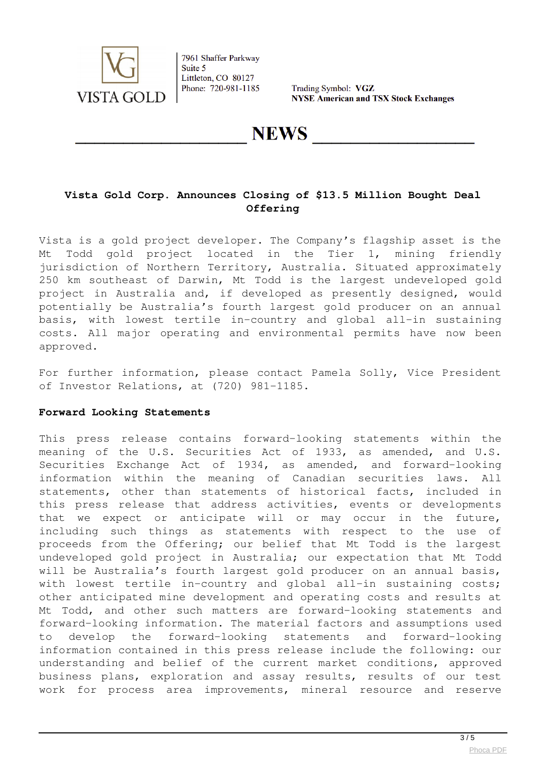

Trading Symbol: VGZ **NYSE American and TSX Stock Exchanges** 

**NEWS** 

## **Vista Gold Corp. Announces Closing of \$13.5 Million Bought Deal Offering**

Vista is a gold project developer. The Company's flagship asset is the Mt Todd gold project located in the Tier 1, mining friendly jurisdiction of Northern Territory, Australia. Situated approximately 250 km southeast of Darwin, Mt Todd is the largest undeveloped gold project in Australia and, if developed as presently designed, would potentially be Australia's fourth largest gold producer on an annual basis, with lowest tertile in-country and global all-in sustaining costs. All major operating and environmental permits have now been approved.

For further information, please contact Pamela Solly, Vice President of Investor Relations, at (720) 981-1185.

#### **Forward Looking Statements**

This press release contains forward-looking statements within the meaning of the U.S. Securities Act of 1933, as amended, and U.S. Securities Exchange Act of 1934, as amended, and forward-looking information within the meaning of Canadian securities laws. All statements, other than statements of historical facts, included in this press release that address activities, events or developments that we expect or anticipate will or may occur in the future, including such things as statements with respect to the use of proceeds from the Offering; our belief that Mt Todd is the largest undeveloped gold project in Australia; our expectation that Mt Todd will be Australia's fourth largest gold producer on an annual basis, with lowest tertile in-country and global all-in sustaining costs; other anticipated mine development and operating costs and results at Mt Todd, and other such matters are forward-looking statements and forward-looking information. The material factors and assumptions used to develop the forward-looking statements and forward-looking information contained in this press release include the following: our understanding and belief of the current market conditions, approved business plans, exploration and assay results, results of our test work for process area improvements, mineral resource and reserve

 $\frac{3}{5}$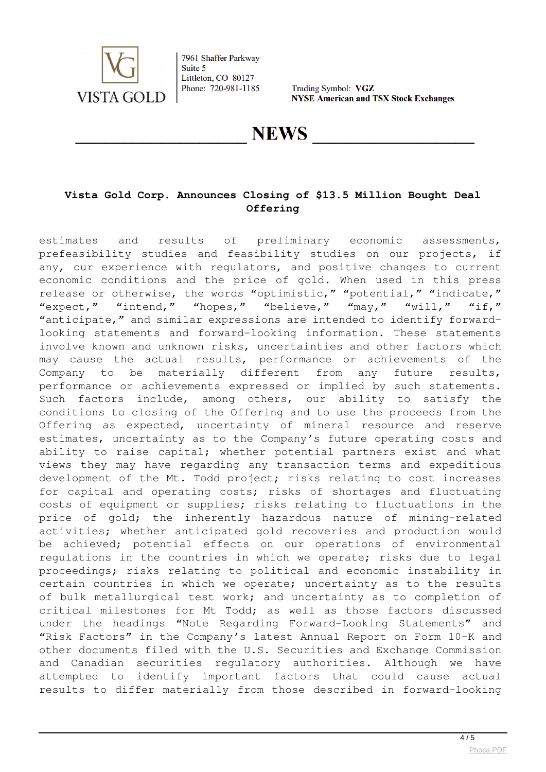

Trading Symbol: VGZ **NYSE American and TSX Stock Exchanges** 

**NEWS** 

## **Vista Gold Corp. Announces Closing of \$13.5 Million Bought Deal Offering**

estimates and results of preliminary economic assessments, prefeasibility studies and feasibility studies on our projects, if any, our experience with regulators, and positive changes to current economic conditions and the price of gold. When used in this press release or otherwise, the words "optimistic," "potential," "indicate," "expect," "intend," "hopes," "believe," "may," "will," "if," "anticipate," and similar expressions are intended to identify forwardlooking statements and forward-looking information. These statements involve known and unknown risks, uncertainties and other factors which may cause the actual results, performance or achievements of the Company to be materially different from any future results, performance or achievements expressed or implied by such statements. Such factors include, among others, our ability to satisfy the conditions to closing of the Offering and to use the proceeds from the Offering as expected, uncertainty of mineral resource and reserve estimates, uncertainty as to the Company's future operating costs and ability to raise capital; whether potential partners exist and what views they may have regarding any transaction terms and expeditious development of the Mt. Todd project; risks relating to cost increases for capital and operating costs; risks of shortages and fluctuating costs of equipment or supplies; risks relating to fluctuations in the price of gold; the inherently hazardous nature of mining-related activities; whether anticipated gold recoveries and production would be achieved; potential effects on our operations of environmental regulations in the countries in which we operate; risks due to legal proceedings; risks relating to political and economic instability in certain countries in which we operate; uncertainty as to the results of bulk metallurgical test work; and uncertainty as to completion of critical milestones for Mt Todd; as well as those factors discussed under the headings "Note Regarding Forward-Looking Statements" and "Risk Factors" in the Company's latest Annual Report on Form 10-K and other documents filed with the U.S. Securities and Exchange Commission and Canadian securities regulatory authorities. Although we have attempted to identify important factors that could cause actual results to differ materially from those described in forward-looking